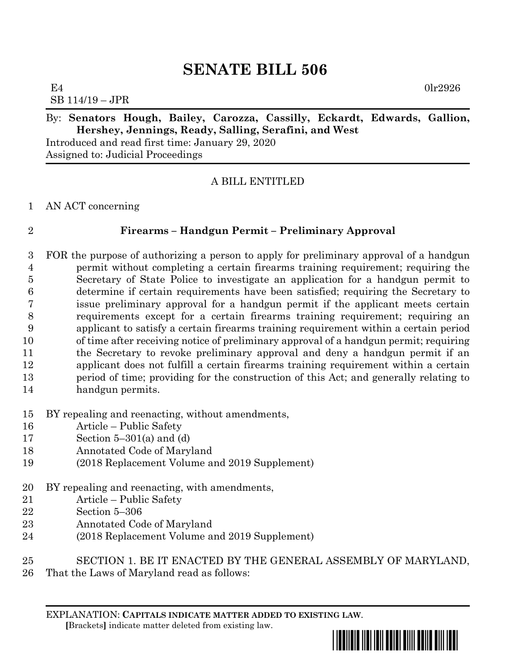# **SENATE BILL 506**

 $E4$  0lr2926 SB 114/19 – JPR

#### By: **Senators Hough, Bailey, Carozza, Cassilly, Eckardt, Edwards, Gallion, Hershey, Jennings, Ready, Salling, Serafini, and West**

Introduced and read first time: January 29, 2020 Assigned to: Judicial Proceedings

## A BILL ENTITLED

#### AN ACT concerning

## **Firearms – Handgun Permit – Preliminary Approval**

- FOR the purpose of authorizing a person to apply for preliminary approval of a handgun permit without completing a certain firearms training requirement; requiring the Secretary of State Police to investigate an application for a handgun permit to determine if certain requirements have been satisfied; requiring the Secretary to issue preliminary approval for a handgun permit if the applicant meets certain requirements except for a certain firearms training requirement; requiring an applicant to satisfy a certain firearms training requirement within a certain period of time after receiving notice of preliminary approval of a handgun permit; requiring the Secretary to revoke preliminary approval and deny a handgun permit if an applicant does not fulfill a certain firearms training requirement within a certain period of time; providing for the construction of this Act; and generally relating to handgun permits.
- BY repealing and reenacting, without amendments,
- Article Public Safety
- Section 5–301(a) and (d)
- Annotated Code of Maryland
- (2018 Replacement Volume and 2019 Supplement)
- BY repealing and reenacting, with amendments,
- Article Public Safety
- Section 5–306
- Annotated Code of Maryland
- (2018 Replacement Volume and 2019 Supplement)
- SECTION 1. BE IT ENACTED BY THE GENERAL ASSEMBLY OF MARYLAND,
- That the Laws of Maryland read as follows:

EXPLANATION: **CAPITALS INDICATE MATTER ADDED TO EXISTING LAW**.  **[**Brackets**]** indicate matter deleted from existing law.

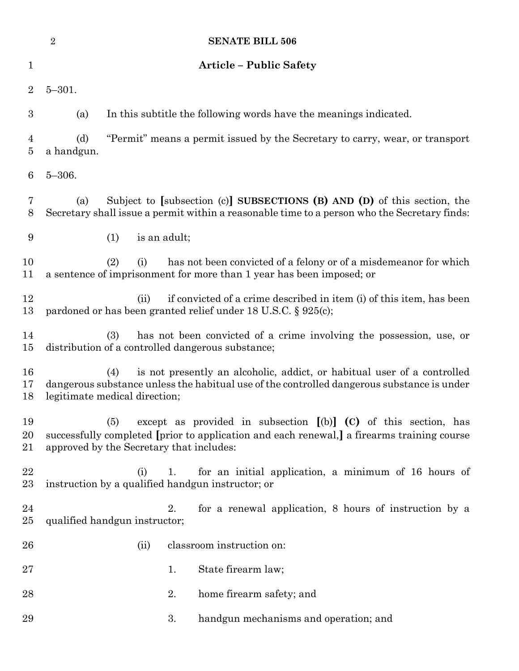|                     | $\sqrt{2}$        | <b>SENATE BILL 506</b>                                                                                                                                                                                               |
|---------------------|-------------------|----------------------------------------------------------------------------------------------------------------------------------------------------------------------------------------------------------------------|
| 1                   |                   | <b>Article - Public Safety</b>                                                                                                                                                                                       |
| $\overline{2}$      | $5 - 301.$        |                                                                                                                                                                                                                      |
| 3                   | (a)               | In this subtitle the following words have the meanings indicated.                                                                                                                                                    |
| $\overline{4}$<br>5 | (d)<br>a handgun. | "Permit" means a permit issued by the Secretary to carry, wear, or transport                                                                                                                                         |
| $\boldsymbol{6}$    | $5 - 306.$        |                                                                                                                                                                                                                      |
| 7<br>8              | (a)               | Subject to [subsection $(c)$ ] SUBSECTIONS $(B)$ AND $(D)$ of this section, the<br>Secretary shall issue a permit within a reasonable time to a person who the Secretary finds:                                      |
| 9                   |                   | is an adult;<br>(1)                                                                                                                                                                                                  |
| 10<br>11            |                   | has not been convicted of a felony or of a misdemean or for which<br>(2)<br>(i)<br>a sentence of imprisonment for more than 1 year has been imposed; or                                                              |
| 12<br>13            |                   | if convicted of a crime described in item (i) of this item, has been<br>(ii)<br>pardoned or has been granted relief under 18 U.S.C. § 925(c);                                                                        |
| 14<br>15            |                   | has not been convicted of a crime involving the possession, use, or<br>(3)<br>distribution of a controlled dangerous substance;                                                                                      |
| 16<br>17<br>18      |                   | is not presently an alcoholic, addict, or habitual user of a controlled<br>(4)<br>dangerous substance unless the habitual use of the controlled dangerous substance is under<br>legitimate medical direction;        |
| 19<br>20<br>21      |                   | except as provided in subsection $[(b)]$ $(C)$ of this section, has<br>(5)<br>successfully completed [prior to application and each renewal,] a firearms training course<br>approved by the Secretary that includes: |
| 22<br>23            |                   | for an initial application, a minimum of 16 hours of<br>(i)<br>1.<br>instruction by a qualified handgun instructor; or                                                                                               |
| 24<br>25            |                   | for a renewal application, 8 hours of instruction by a<br>2.<br>qualified handgun instructor;                                                                                                                        |
| 26                  |                   | classroom instruction on:<br>(ii)                                                                                                                                                                                    |
| 27                  |                   | State firearm law;<br>1.                                                                                                                                                                                             |
| 28                  |                   | 2.<br>home firearm safety; and                                                                                                                                                                                       |
| 29                  |                   | 3.<br>handgun mechanisms and operation; and                                                                                                                                                                          |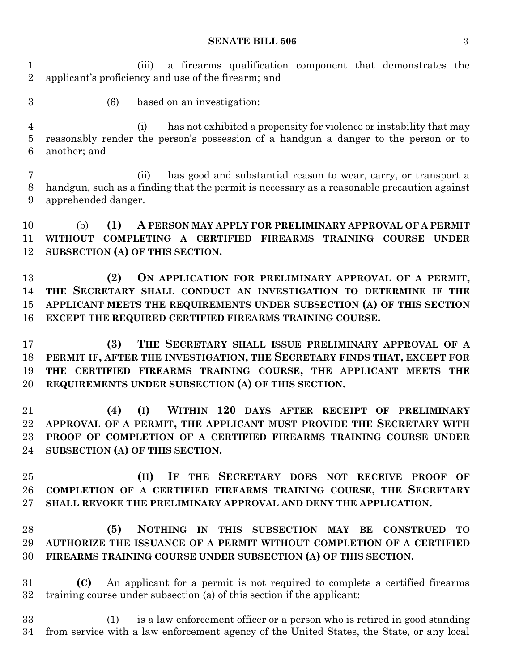#### **SENATE BILL 506** 3

 (iii) a firearms qualification component that demonstrates the applicant's proficiency and use of the firearm; and

- 
- (6) based on an investigation:

 (i) has not exhibited a propensity for violence or instability that may reasonably render the person's possession of a handgun a danger to the person or to another; and

 (ii) has good and substantial reason to wear, carry, or transport a handgun, such as a finding that the permit is necessary as a reasonable precaution against apprehended danger.

 (b) **(1) A PERSON MAY APPLY FOR PRELIMINARY APPROVAL OF A PERMIT WITHOUT COMPLETING A CERTIFIED FIREARMS TRAINING COURSE UNDER SUBSECTION (A) OF THIS SECTION.**

 **(2) ON APPLICATION FOR PRELIMINARY APPROVAL OF A PERMIT, THE SECRETARY SHALL CONDUCT AN INVESTIGATION TO DETERMINE IF THE APPLICANT MEETS THE REQUIREMENTS UNDER SUBSECTION (A) OF THIS SECTION EXCEPT THE REQUIRED CERTIFIED FIREARMS TRAINING COURSE.**

 **(3) THE SECRETARY SHALL ISSUE PRELIMINARY APPROVAL OF A PERMIT IF, AFTER THE INVESTIGATION, THE SECRETARY FINDS THAT, EXCEPT FOR THE CERTIFIED FIREARMS TRAINING COURSE, THE APPLICANT MEETS THE REQUIREMENTS UNDER SUBSECTION (A) OF THIS SECTION.**

 **(4) (I) WITHIN 120 DAYS AFTER RECEIPT OF PRELIMINARY APPROVAL OF A PERMIT, THE APPLICANT MUST PROVIDE THE SECRETARY WITH PROOF OF COMPLETION OF A CERTIFIED FIREARMS TRAINING COURSE UNDER SUBSECTION (A) OF THIS SECTION.**

 **(II) IF THE SECRETARY DOES NOT RECEIVE PROOF OF COMPLETION OF A CERTIFIED FIREARMS TRAINING COURSE, THE SECRETARY SHALL REVOKE THE PRELIMINARY APPROVAL AND DENY THE APPLICATION.**

 **(5) NOTHING IN THIS SUBSECTION MAY BE CONSTRUED TO AUTHORIZE THE ISSUANCE OF A PERMIT WITHOUT COMPLETION OF A CERTIFIED FIREARMS TRAINING COURSE UNDER SUBSECTION (A) OF THIS SECTION.**

 **(C)** An applicant for a permit is not required to complete a certified firearms training course under subsection (a) of this section if the applicant:

 (1) is a law enforcement officer or a person who is retired in good standing from service with a law enforcement agency of the United States, the State, or any local